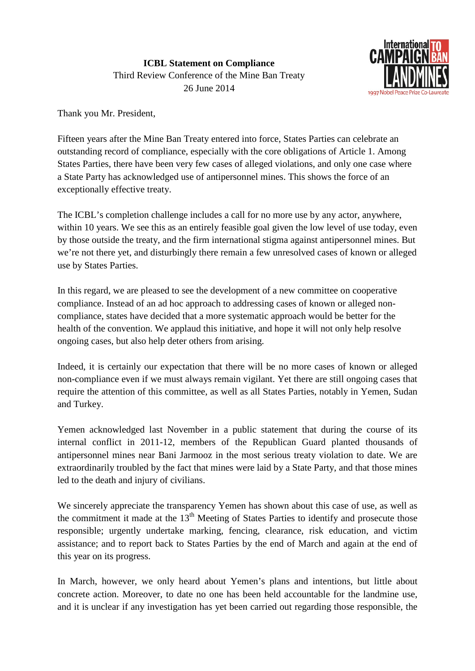

Thank you Mr. President,

Fifteen years after the Mine Ban Treaty entered into force, States Parties can celebrate an outstanding record of compliance, especially with the core obligations of Article 1. Among States Parties, there have been very few cases of alleged violations, and only one case where a State Party has acknowledged use of antipersonnel mines. This shows the force of an exceptionally effective treaty.

The ICBL's completion challenge includes a call for no more use by any actor, anywhere, within 10 years. We see this as an entirely feasible goal given the low level of use today, even by those outside the treaty, and the firm international stigma against antipersonnel mines. But we're not there yet, and disturbingly there remain a few unresolved cases of known or alleged use by States Parties.

In this regard, we are pleased to see the development of a new committee on cooperative compliance. Instead of an ad hoc approach to addressing cases of known or alleged noncompliance, states have decided that a more systematic approach would be better for the health of the convention. We applaud this initiative, and hope it will not only help resolve ongoing cases, but also help deter others from arising.

Indeed, it is certainly our expectation that there will be no more cases of known or alleged non-compliance even if we must always remain vigilant. Yet there are still ongoing cases that require the attention of this committee, as well as all States Parties, notably in Yemen, Sudan and Turkey.

Yemen acknowledged last November in a public statement that during the course of its internal conflict in 2011-12, members of the Republican Guard planted thousands of antipersonnel mines near Bani Jarmooz in the most serious treaty violation to date. We are extraordinarily troubled by the fact that mines were laid by a State Party, and that those mines led to the death and injury of civilians.

We sincerely appreciate the transparency Yemen has shown about this case of use, as well as the commitment it made at the  $13<sup>th</sup>$  Meeting of States Parties to identify and prosecute those responsible; urgently undertake marking, fencing, clearance, risk education, and victim assistance; and to report back to States Parties by the end of March and again at the end of this year on its progress.

In March, however, we only heard about Yemen's plans and intentions, but little about concrete action. Moreover, to date no one has been held accountable for the landmine use, and it is unclear if any investigation has yet been carried out regarding those responsible, the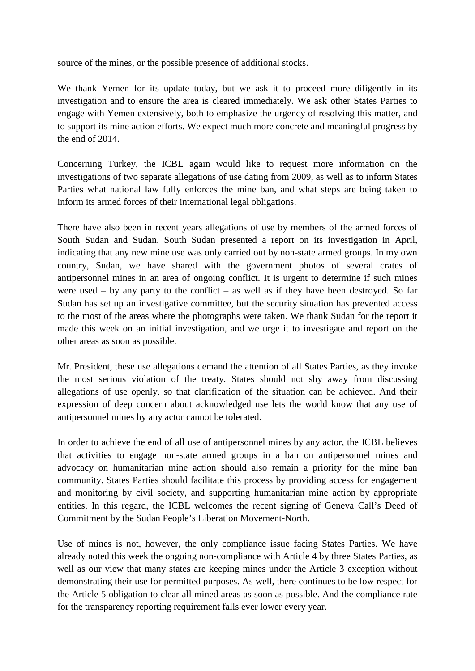source of the mines, or the possible presence of additional stocks.

We thank Yemen for its update today, but we ask it to proceed more diligently in its investigation and to ensure the area is cleared immediately. We ask other States Parties to engage with Yemen extensively, both to emphasize the urgency of resolving this matter, and to support its mine action efforts. We expect much more concrete and meaningful progress by the end of 2014.

Concerning Turkey, the ICBL again would like to request more information on the investigations of two separate allegations of use dating from 2009, as well as to inform States Parties what national law fully enforces the mine ban, and what steps are being taken to inform its armed forces of their international legal obligations.

There have also been in recent years allegations of use by members of the armed forces of South Sudan and Sudan. South Sudan presented a report on its investigation in April, indicating that any new mine use was only carried out by non-state armed groups. In my own country, Sudan, we have shared with the government photos of several crates of antipersonnel mines in an area of ongoing conflict. It is urgent to determine if such mines were used – by any party to the conflict – as well as if they have been destroyed. So far Sudan has set up an investigative committee, but the security situation has prevented access to the most of the areas where the photographs were taken. We thank Sudan for the report it made this week on an initial investigation, and we urge it to investigate and report on the other areas as soon as possible.

Mr. President, these use allegations demand the attention of all States Parties, as they invoke the most serious violation of the treaty. States should not shy away from discussing allegations of use openly, so that clarification of the situation can be achieved. And their expression of deep concern about acknowledged use lets the world know that any use of antipersonnel mines by any actor cannot be tolerated.

In order to achieve the end of all use of antipersonnel mines by any actor, the ICBL believes that activities to engage non-state armed groups in a ban on antipersonnel mines and advocacy on humanitarian mine action should also remain a priority for the mine ban community. States Parties should facilitate this process by providing access for engagement and monitoring by civil society, and supporting humanitarian mine action by appropriate entities. In this regard, the ICBL welcomes the recent signing of Geneva Call's Deed of Commitment by the Sudan People's Liberation Movement-North.

Use of mines is not, however, the only compliance issue facing States Parties. We have already noted this week the ongoing non-compliance with Article 4 by three States Parties, as well as our view that many states are keeping mines under the Article 3 exception without demonstrating their use for permitted purposes. As well, there continues to be low respect for the Article 5 obligation to clear all mined areas as soon as possible. And the compliance rate for the transparency reporting requirement falls ever lower every year.